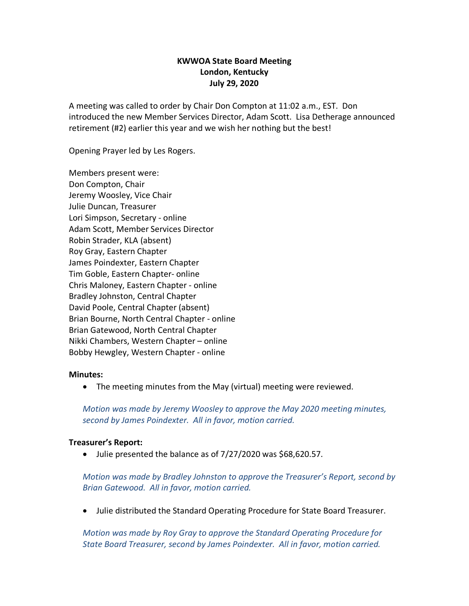# **KWWOA State Board Meeting London, Kentucky July 29, 2020**

A meeting was called to order by Chair Don Compton at 11:02 a.m., EST. Don introduced the new Member Services Director, Adam Scott. Lisa Detherage announced retirement (#2) earlier this year and we wish her nothing but the best!

Opening Prayer led by Les Rogers.

Members present were: Don Compton, Chair Jeremy Woosley, Vice Chair Julie Duncan, Treasurer Lori Simpson, Secretary - online Adam Scott, Member Services Director Robin Strader, KLA (absent) Roy Gray, Eastern Chapter James Poindexter, Eastern Chapter Tim Goble, Eastern Chapter- online Chris Maloney, Eastern Chapter - online Bradley Johnston, Central Chapter David Poole, Central Chapter (absent) Brian Bourne, North Central Chapter - online Brian Gatewood, North Central Chapter Nikki Chambers, Western Chapter – online Bobby Hewgley, Western Chapter - online

#### **Minutes:**

• The meeting minutes from the May (virtual) meeting were reviewed.

*Motion was made by Jeremy Woosley to approve the May 2020 meeting minutes, second by James Poindexter. All in favor, motion carried.* 

### **Treasurer's Report:**

• Julie presented the balance as of 7/27/2020 was \$68,620.57.

*Motion was made by Bradley Johnston to approve the Treasurer's Report, second by Brian Gatewood. All in favor, motion carried.*

• Julie distributed the Standard Operating Procedure for State Board Treasurer.

*Motion was made by Roy Gray to approve the Standard Operating Procedure for State Board Treasurer, second by James Poindexter. All in favor, motion carried.*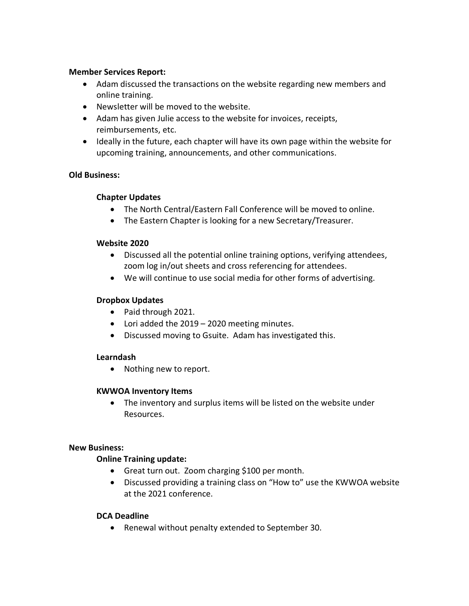### **Member Services Report:**

- Adam discussed the transactions on the website regarding new members and online training.
- Newsletter will be moved to the website.
- Adam has given Julie access to the website for invoices, receipts, reimbursements, etc.
- Ideally in the future, each chapter will have its own page within the website for upcoming training, announcements, and other communications.

# **Old Business:**

## **Chapter Updates**

- The North Central/Eastern Fall Conference will be moved to online.
- The Eastern Chapter is looking for a new Secretary/Treasurer.

#### **Website 2020**

- Discussed all the potential online training options, verifying attendees, zoom log in/out sheets and cross referencing for attendees.
- We will continue to use social media for other forms of advertising.

## **Dropbox Updates**

- Paid through 2021.
- Lori added the 2019 2020 meeting minutes.
- Discussed moving to Gsuite. Adam has investigated this.

### **Learndash**

• Nothing new to report.

### **KWWOA Inventory Items**

• The inventory and surplus items will be listed on the website under Resources.

### **New Business:**

### **Online Training update:**

- Great turn out. Zoom charging \$100 per month.
- Discussed providing a training class on "How to" use the KWWOA website at the 2021 conference.

### **DCA Deadline**

• Renewal without penalty extended to September 30.